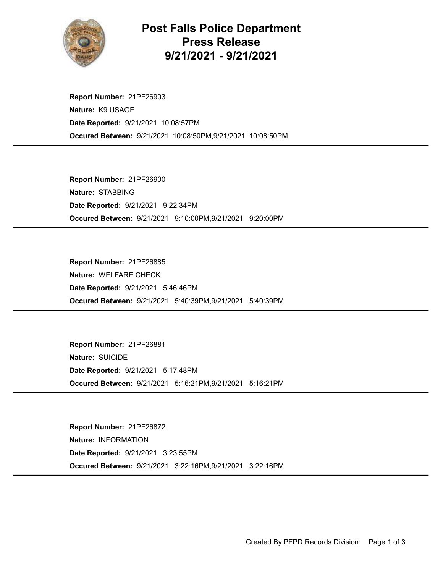

## Post Falls Police Department Press Release 9/21/2021 - 9/21/2021

Occured Between: 9/21/2021 10:08:50PM,9/21/2021 10:08:50PM Report Number: 21PF26903 Nature: K9 USAGE Date Reported: 9/21/2021 10:08:57PM

Occured Between: 9/21/2021 9:10:00PM,9/21/2021 9:20:00PM Report Number: 21PF26900 Nature: STABBING Date Reported: 9/21/2021 9:22:34PM

Occured Between: 9/21/2021 5:40:39PM,9/21/2021 5:40:39PM Report Number: 21PF26885 Nature: WELFARE CHECK Date Reported: 9/21/2021 5:46:46PM

Occured Between: 9/21/2021 5:16:21PM,9/21/2021 5:16:21PM Report Number: 21PF26881 Nature: SUICIDE Date Reported: 9/21/2021 5:17:48PM

Occured Between: 9/21/2021 3:22:16PM,9/21/2021 3:22:16PM Report Number: 21PF26872 Nature: INFORMATION Date Reported: 9/21/2021 3:23:55PM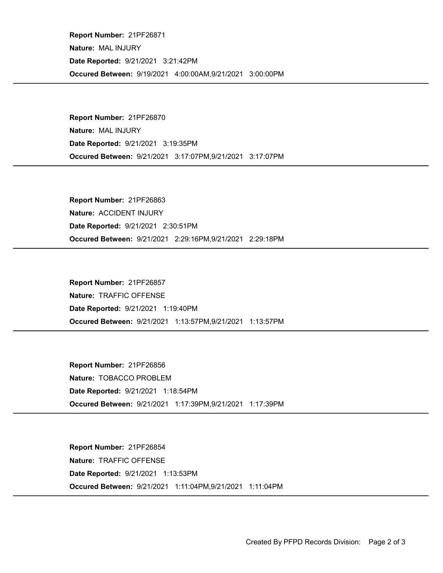Occured Between: 9/19/2021 4:00:00AM,9/21/2021 3:00:00PM Report Number: 21PF26871 Nature: MAL INJURY Date Reported: 9/21/2021 3:21:42PM

Occured Between: 9/21/2021 3:17:07PM,9/21/2021 3:17:07PM Report Number: 21PF26870 Nature: MAL INJURY Date Reported: 9/21/2021 3:19:35PM

Occured Between: 9/21/2021 2:29:16PM,9/21/2021 2:29:18PM Report Number: 21PF26863 Nature: ACCIDENT INJURY Date Reported: 9/21/2021 2:30:51PM

Occured Between: 9/21/2021 1:13:57PM,9/21/2021 1:13:57PM Report Number: 21PF26857 Nature: TRAFFIC OFFENSE Date Reported: 9/21/2021 1:19:40PM

Occured Between: 9/21/2021 1:17:39PM,9/21/2021 1:17:39PM Report Number: 21PF26856 Nature: TOBACCO PROBLEM Date Reported: 9/21/2021 1:18:54PM

Occured Between: 9/21/2021 1:11:04PM,9/21/2021 1:11:04PM Report Number: 21PF26854 Nature: TRAFFIC OFFENSE Date Reported: 9/21/2021 1:13:53PM